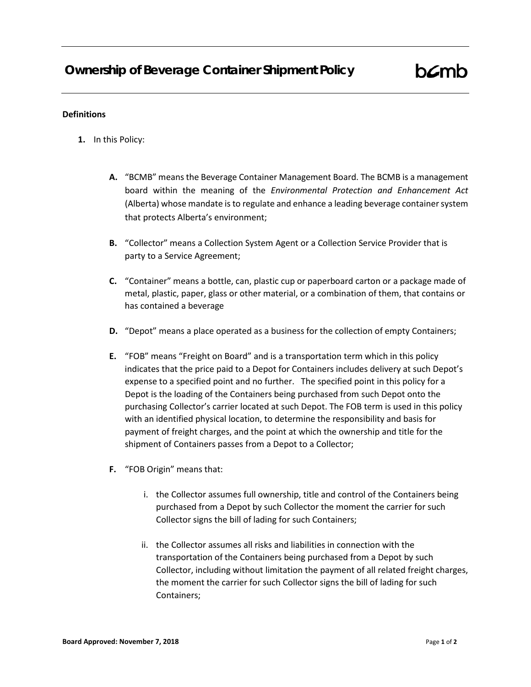## **Definitions**

- **1.** In this Policy:
	- **A.** "BCMB" means the Beverage Container Management Board. The BCMB is a management board within the meaning of the *Environmental Protection and Enhancement Act* (Alberta) whose mandate is to regulate and enhance a leading beverage container system that protects Alberta's environment;
	- **B.** "Collector" means a Collection System Agent or a Collection Service Provider that is party to a Service Agreement;
	- **C.** "Container" means a bottle, can, plastic cup or paperboard carton or a package made of metal, plastic, paper, glass or other material, or a combination of them, that contains or has contained a beverage
	- **D.** "Depot" means a place operated as a business for the collection of empty Containers;
	- **E.** "FOB" means "Freight on Board" and is a transportation term which in this policy indicates that the price paid to a Depot for Containers includes delivery at such Depot's expense to a specified point and no further. The specified point in this policy for a Depot is the loading of the Containers being purchased from such Depot onto the purchasing Collector's carrier located at such Depot. The FOB term is used in this policy with an identified physical location, to determine the responsibility and basis for payment of freight charges, and the point at which the ownership and title for the shipment of Containers passes from a Depot to a Collector;
	- **F.** "FOB Origin" means that:
		- i. the Collector assumes full ownership, title and control of the Containers being purchased from a Depot by such Collector the moment the carrier for such Collector signs the bill of lading for such Containers;
		- ii. the Collector assumes all risks and liabilities in connection with the transportation of the Containers being purchased from a Depot by such Collector, including without limitation the payment of all related freight charges, the moment the carrier for such Collector signs the bill of lading for such Containers;